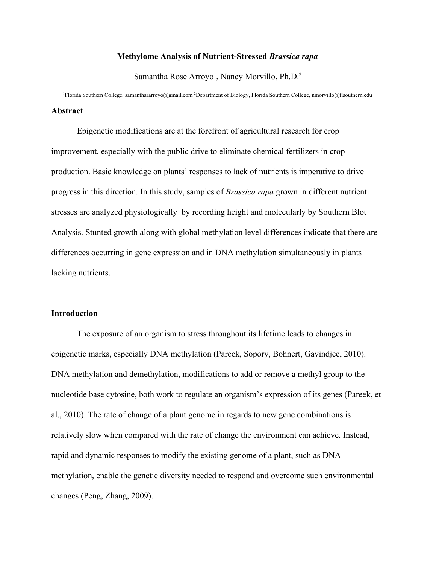## **Methylome Analysis of Nutrient-Stressed** *Brassica rapa*

Samantha Rose Arroyo<sup>1</sup>, Nancy Morvillo, Ph.D.<sup>2</sup>

<sup>1</sup>Florida Southern College, samanthararroyo@gmail.com <sup>2</sup>Department of Biology, Florida Southern College, nmorvillo@flsouthern.edu **Abstract**

Epigenetic modifications are at the forefront of agricultural research for crop improvement, especially with the public drive to eliminate chemical fertilizers in crop production. Basic knowledge on plants' responses to lack of nutrients is imperative to drive progress in this direction. In this study, samples of *Brassica rapa* grown in different nutrient stresses are analyzed physiologically by recording height and molecularly by Southern Blot Analysis. Stunted growth along with global methylation level differences indicate that there are differences occurring in gene expression and in DNA methylation simultaneously in plants lacking nutrients.

### **Introduction**

The exposure of an organism to stress throughout its lifetime leads to changes in epigenetic marks, especially DNA methylation (Pareek, Sopory, Bohnert, Gavindjee, 2010). DNA methylation and demethylation, modifications to add or remove a methyl group to the nucleotide base cytosine, both work to regulate an organism's expression of its genes (Pareek, et al., 2010). The rate of change of a plant genome in regards to new gene combinations is relatively slow when compared with the rate of change the environment can achieve. Instead, rapid and dynamic responses to modify the existing genome of a plant, such as DNA methylation, enable the genetic diversity needed to respond and overcome such environmental changes (Peng, Zhang, 2009).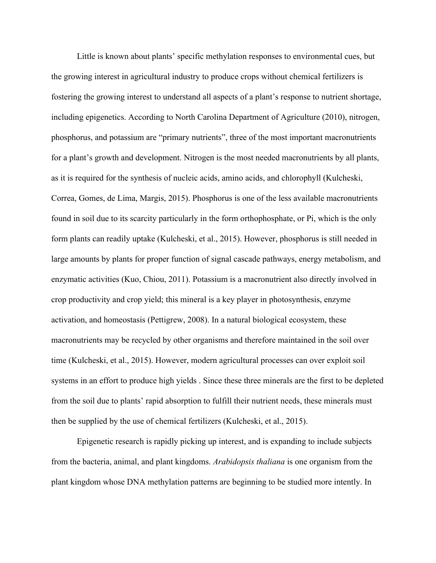Little is known about plants' specific methylation responses to environmental cues, but the growing interest in agricultural industry to produce crops without chemical fertilizers is fostering the growing interest to understand all aspects of a plant's response to nutrient shortage, including epigenetics. According to North Carolina Department of Agriculture (2010), nitrogen, phosphorus, and potassium are "primary nutrients", three of the most important macronutrients for a plant's growth and development. Nitrogen is the most needed macronutrients by all plants, as it is required for the synthesis of nucleic acids, amino acids, and chlorophyll (Kulcheski, Correa, Gomes, de Lima, Margis, 2015). Phosphorus is one of the less available macronutrients found in soil due to its scarcity particularly in the form orthophosphate, or Pi, which is the only form plants can readily uptake (Kulcheski, et al., 2015). However, phosphorus is still needed in large amounts by plants for proper function of signal cascade pathways, energy metabolism, and enzymatic activities (Kuo, Chiou, 2011). Potassium is a macronutrient also directly involved in crop productivity and crop yield; this mineral is a key player in photosynthesis, enzyme activation, and homeostasis (Pettigrew, 2008). In a natural biological ecosystem, these macronutrients may be recycled by other organisms and therefore maintained in the soil over time (Kulcheski, et al., 2015). However, modern agricultural processes can over exploit soil systems in an effort to produce high yields . Since these three minerals are the first to be depleted from the soil due to plants' rapid absorption to fulfill their nutrient needs, these minerals must then be supplied by the use of chemical fertilizers (Kulcheski, et al., 2015).

Epigenetic research is rapidly picking up interest, and is expanding to include subjects from the bacteria, animal, and plant kingdoms. *Arabidopsis thaliana* is one organism from the plant kingdom whose DNA methylation patterns are beginning to be studied more intently. In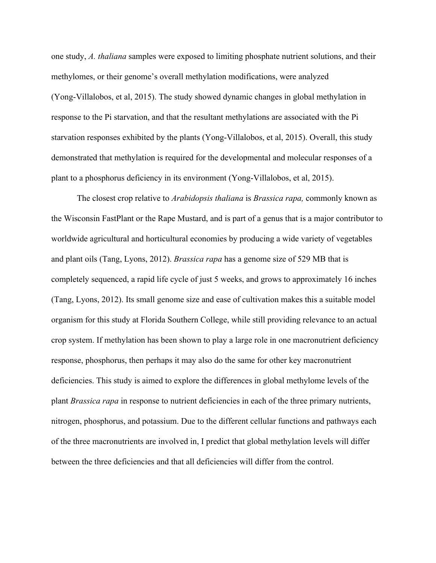one study, *A. thaliana* samples were exposed to limiting phosphate nutrient solutions, and their methylomes, or their genome's overall methylation modifications, were analyzed (Yong-Villalobos, et al, 2015). The study showed dynamic changes in global methylation in response to the Pi starvation, and that the resultant methylations are associated with the Pi starvation responses exhibited by the plants (Yong-Villalobos, et al, 2015). Overall, this study demonstrated that methylation is required for the developmental and molecular responses of a plant to a phosphorus deficiency in its environment (Yong-Villalobos, et al, 2015).

The closest crop relative to *Arabidopsis thaliana* is *Brassica rapa,* commonly known as the Wisconsin FastPlant or the Rape Mustard, and is part of a genus that is a major contributor to worldwide agricultural and horticultural economies by producing a wide variety of vegetables and plant oils (Tang, Lyons, 2012). *Brassica rapa* has a genome size of 529 MB that is completely sequenced, a rapid life cycle of just 5 weeks, and grows to approximately 16 inches (Tang, Lyons, 2012). Its small genome size and ease of cultivation makes this a suitable model organism for this study at Florida Southern College, while still providing relevance to an actual crop system. If methylation has been shown to play a large role in one macronutrient deficiency response, phosphorus, then perhaps it may also do the same for other key macronutrient deficiencies. This study is aimed to explore the differences in global methylome levels of the plant *Brassica rapa* in response to nutrient deficiencies in each of the three primary nutrients, nitrogen, phosphorus, and potassium. Due to the different cellular functions and pathways each of the three macronutrients are involved in, I predict that global methylation levels will differ between the three deficiencies and that all deficiencies will differ from the control.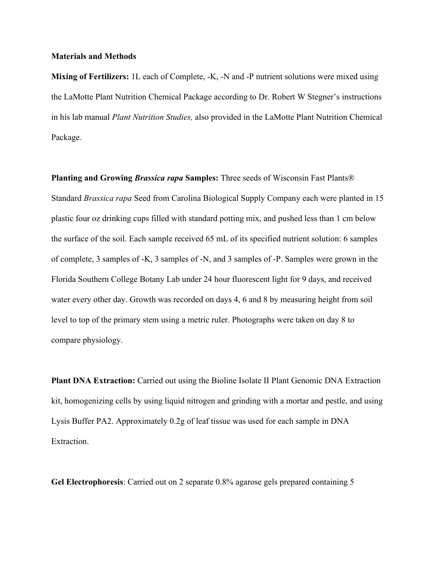### **Materials and Methods**

**Mixing of Fertilizers:** 1L each of Complete, -K, -N and -P nutrient solutions were mixed using the LaMotte Plant Nutrition Chemical Package according to Dr. Robert W Stegner's instructions in his lab manual *Plant Nutrition Studies,* also provided in the LaMotte Plant Nutrition Chemical Package.

**Planting and Growing** *Brassica rapa* **Samples:** Three seeds of Wisconsin Fast Plants® Standard *Brassica rapa* Seed from Carolina Biological Supply Company each were planted in 15 plastic four oz drinking cups filled with standard potting mix, and pushed less than 1 cm below the surface of the soil. Each sample received 65 mL of its specified nutrient solution: 6 samples of complete, 3 samples of -K, 3 samples of -N, and 3 samples of -P. Samples were grown in the Florida Southern College Botany Lab under 24 hour fluorescent light for 9 days, and received water every other day. Growth was recorded on days 4, 6 and 8 by measuring height from soil level to top of the primary stem using a metric ruler. Photographs were taken on day 8 to compare physiology.

**Plant DNA Extraction:** Carried out using the Bioline Isolate II Plant Genomic DNA Extraction kit, homogenizing cells by using liquid nitrogen and grinding with a mortar and pestle, and using Lysis Buffer PA2. Approximately 0.2g of leaf tissue was used for each sample in DNA Extraction.

**Gel Electrophoresis**: Carried out on 2 separate 0.8% agarose gels prepared containing 5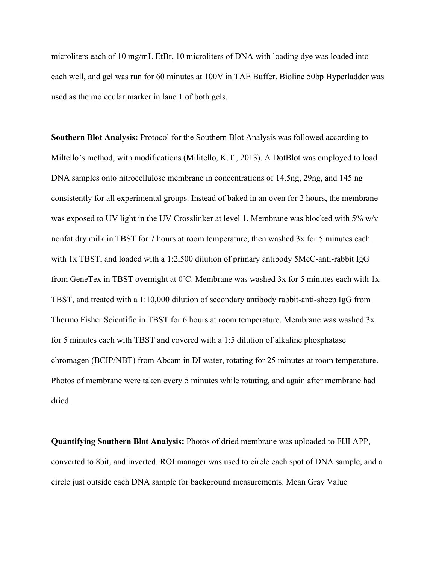microliters each of 10 mg/mL EtBr, 10 microliters of DNA with loading dye was loaded into each well, and gel was run for 60 minutes at 100V in TAE Buffer. Bioline 50bp Hyperladder was used as the molecular marker in lane 1 of both gels.

**Southern Blot Analysis:** Protocol for the Southern Blot Analysis was followed according to Miltello's method, with modifications (Militello, K.T., 2013). A DotBlot was employed to load DNA samples onto nitrocellulose membrane in concentrations of 14.5ng, 29ng, and 145 ng consistently for all experimental groups. Instead of baked in an oven for 2 hours, the membrane was exposed to UV light in the UV Crosslinker at level 1. Membrane was blocked with 5% w/v nonfat dry milk in TBST for 7 hours at room temperature, then washed 3x for 5 minutes each with 1x TBST, and loaded with a 1:2,500 dilution of primary antibody 5MeC-anti-rabbit IgG from GeneTex in TBST overnight at  $0^{\circ}$ C. Membrane was washed 3x for 5 minutes each with 1x TBST, and treated with a 1:10,000 dilution of secondary antibody rabbit-anti-sheep IgG from Thermo Fisher Scientific in TBST for 6 hours at room temperature. Membrane was washed 3x for 5 minutes each with TBST and covered with a 1:5 dilution of alkaline phosphatase chromagen (BCIP/NBT) from Abcam in DI water, rotating for 25 minutes at room temperature. Photos of membrane were taken every 5 minutes while rotating, and again after membrane had dried.

**Quantifying Southern Blot Analysis:** Photos of dried membrane was uploaded to FIJI APP, converted to 8bit, and inverted. ROI manager was used to circle each spot of DNA sample, and a circle just outside each DNA sample for background measurements. Mean Gray Value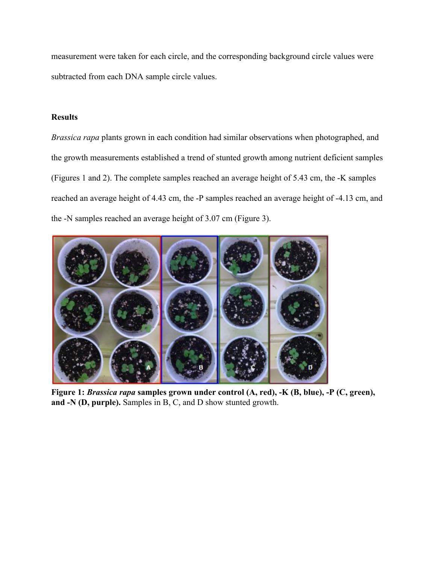measurement were taken for each circle, and the corresponding background circle values were subtracted from each DNA sample circle values.

# **Results**

*Brassica rapa* plants grown in each condition had similar observations when photographed, and the growth measurements established a trend of stunted growth among nutrient deficient samples (Figures 1 and 2). The complete samples reached an average height of 5.43 cm, the -K samples reached an average height of 4.43 cm, the -P samples reached an average height of -4.13 cm, and the -N samples reached an average height of 3.07 cm (Figure 3).



**Figure 1:** *Brassica rapa* **samples grown under control (A, red), -K (B, blue), -P (C, green), and -N (D, purple).** Samples in B, C, and D show stunted growth.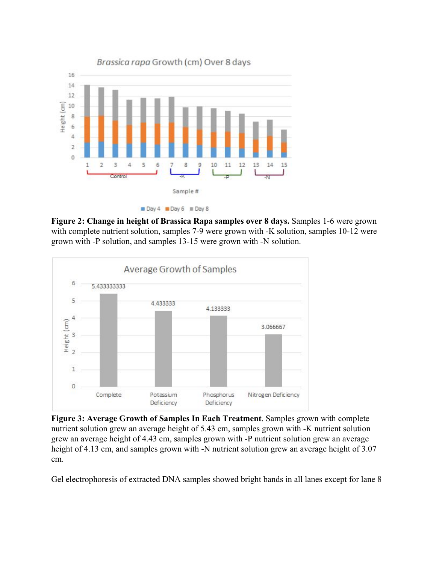

**Figure 2: Change in height of Brassica Rapa samples over 8 days.** Samples 1-6 were grown with complete nutrient solution, samples 7-9 were grown with -K solution, samples 10-12 were grown with -P solution, and samples 13-15 were grown with -N solution.



**Figure 3: Average Growth of Samples In Each Treatment**. Samples grown with complete nutrient solution grew an average height of 5.43 cm, samples grown with -K nutrient solution grew an average height of 4.43 cm, samples grown with -P nutrient solution grew an average height of 4.13 cm, and samples grown with -N nutrient solution grew an average height of 3.07 cm.

Gel electrophoresis of extracted DNA samples showed bright bands in all lanes except for lane 8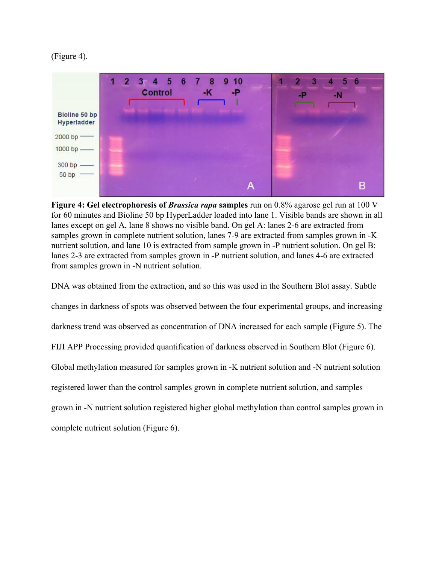



**Figure 4: Gel electrophoresis of** *Brassica rapa* **samples** run on 0.8% agarose gel run at 100 V for 60 minutes and Bioline 50 bp HyperLadder loaded into lane 1. Visible bands are shown in all lanes except on gel A, lane 8 shows no visible band. On gel A: lanes 2-6 are extracted from samples grown in complete nutrient solution, lanes 7-9 are extracted from samples grown in -K nutrient solution, and lane 10 is extracted from sample grown in -P nutrient solution. On gel B: lanes 2-3 are extracted from samples grown in -P nutrient solution, and lanes 4-6 are extracted from samples grown in -N nutrient solution.

DNA was obtained from the extraction, and so this was used in the Southern Blot assay. Subtle changes in darkness of spots was observed between the four experimental groups, and increasing darkness trend was observed as concentration of DNA increased for each sample (Figure 5). The FIJI APP Processing provided quantification of darkness observed in Southern Blot (Figure 6). Global methylation measured for samples grown in -K nutrient solution and -N nutrient solution registered lower than the control samples grown in complete nutrient solution, and samples grown in -N nutrient solution registered higher global methylation than control samples grown in complete nutrient solution (Figure 6).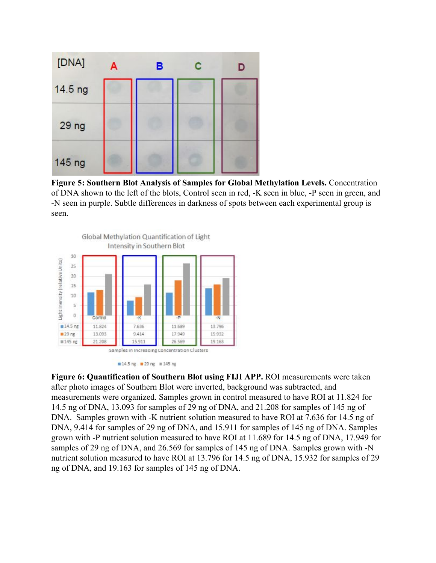

**Figure 5: Southern Blot Analysis of Samples for Global Methylation Levels.** Concentration of DNA shown to the left of the blots, Control seen in red, -K seen in blue, -P seen in green, and -N seen in purple. Subtle differences in darkness of spots between each experimental group is seen.



**Figure 6: Quantification of Southern Blot using FIJI APP.** ROI measurements were taken after photo images of Southern Blot were inverted, background was subtracted, and measurements were organized. Samples grown in control measured to have ROI at 11.824 for 14.5 ng of DNA, 13.093 for samples of 29 ng of DNA, and 21.208 for samples of 145 ng of DNA. Samples grown with -K nutrient solution measured to have ROI at 7.636 for 14.5 ng of DNA, 9.414 for samples of 29 ng of DNA, and 15.911 for samples of 145 ng of DNA. Samples grown with -P nutrient solution measured to have ROI at 11.689 for 14.5 ng of DNA, 17.949 for samples of 29 ng of DNA, and 26.569 for samples of 145 ng of DNA. Samples grown with -N nutrient solution measured to have ROI at 13.796 for 14.5 ng of DNA, 15.932 for samples of 29 ng of DNA, and 19.163 for samples of 145 ng of DNA.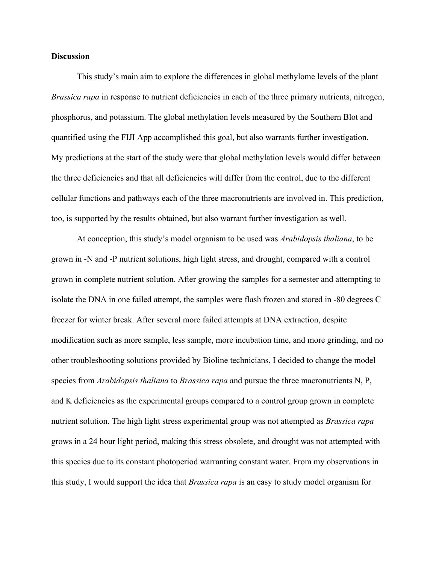### **Discussion**

This study's main aim to explore the differences in global methylome levels of the plant *Brassica rapa* in response to nutrient deficiencies in each of the three primary nutrients, nitrogen, phosphorus, and potassium. The global methylation levels measured by the Southern Blot and quantified using the FIJI App accomplished this goal, but also warrants further investigation. My predictions at the start of the study were that global methylation levels would differ between the three deficiencies and that all deficiencies will differ from the control, due to the different cellular functions and pathways each of the three macronutrients are involved in. This prediction, too, is supported by the results obtained, but also warrant further investigation as well.

At conception, this study's model organism to be used was *Arabidopsis thaliana*, to be grown in -N and -P nutrient solutions, high light stress, and drought, compared with a control grown in complete nutrient solution. After growing the samples for a semester and attempting to isolate the DNA in one failed attempt, the samples were flash frozen and stored in -80 degrees C freezer for winter break. After several more failed attempts at DNA extraction, despite modification such as more sample, less sample, more incubation time, and more grinding, and no other troubleshooting solutions provided by Bioline technicians, I decided to change the model species from *Arabidopsis thaliana* to *Brassica rapa* and pursue the three macronutrients N, P, and K deficiencies as the experimental groups compared to a control group grown in complete nutrient solution. The high light stress experimental group was not attempted as *Brassica rapa* grows in a 24 hour light period, making this stress obsolete, and drought was not attempted with this species due to its constant photoperiod warranting constant water. From my observations in this study, I would support the idea that *Brassica rapa* is an easy to study model organism for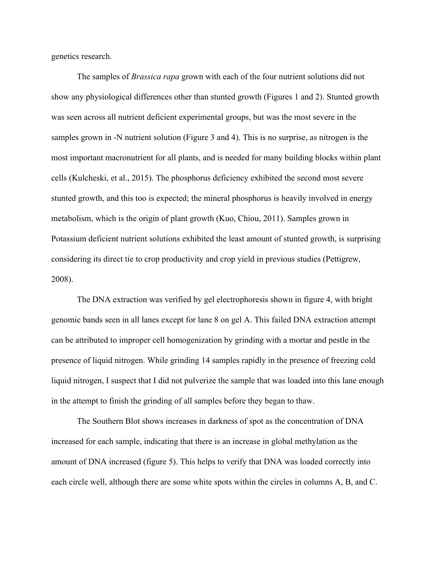genetics research.

The samples of *Brassica rapa* grown with each of the four nutrient solutions did not show any physiological differences other than stunted growth (Figures 1 and 2). Stunted growth was seen across all nutrient deficient experimental groups, but was the most severe in the samples grown in -N nutrient solution (Figure 3 and 4). This is no surprise, as nitrogen is the most important macronutrient for all plants, and is needed for many building blocks within plant cells (Kulcheski, et al., 2015). The phosphorus deficiency exhibited the second most severe stunted growth, and this too is expected; the mineral phosphorus is heavily involved in energy metabolism, which is the origin of plant growth (Kuo, Chiou, 2011). Samples grown in Potassium deficient nutrient solutions exhibited the least amount of stunted growth, is surprising considering its direct tie to crop productivity and crop yield in previous studies (Pettigrew, 2008).

The DNA extraction was verified by gel electrophoresis shown in figure 4, with bright genomic bands seen in all lanes except for lane 8 on gel A. This failed DNA extraction attempt can be attributed to improper cell homogenization by grinding with a mortar and pestle in the presence of liquid nitrogen. While grinding 14 samples rapidly in the presence of freezing cold liquid nitrogen, I suspect that I did not pulverize the sample that was loaded into this lane enough in the attempt to finish the grinding of all samples before they began to thaw.

The Southern Blot shows increases in darkness of spot as the concentration of DNA increased for each sample, indicating that there is an increase in global methylation as the amount of DNA increased (figure 5). This helps to verify that DNA was loaded correctly into each circle well, although there are some white spots within the circles in columns A, B, and C.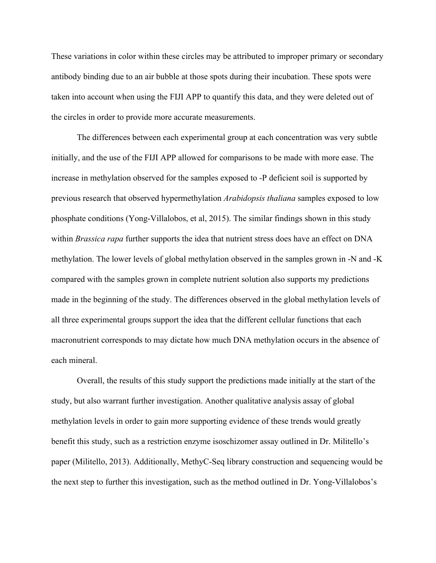These variations in color within these circles may be attributed to improper primary or secondary antibody binding due to an air bubble at those spots during their incubation. These spots were taken into account when using the FIJI APP to quantify this data, and they were deleted out of the circles in order to provide more accurate measurements.

The differences between each experimental group at each concentration was very subtle initially, and the use of the FIJI APP allowed for comparisons to be made with more ease. The increase in methylation observed for the samples exposed to -P deficient soil is supported by previous research that observed hypermethylation *Arabidopsis thaliana* samples exposed to low phosphate conditions (Yong-Villalobos, et al, 2015). The similar findings shown in this study within *Brassica rapa* further supports the idea that nutrient stress does have an effect on DNA methylation. The lower levels of global methylation observed in the samples grown in -N and -K compared with the samples grown in complete nutrient solution also supports my predictions made in the beginning of the study. The differences observed in the global methylation levels of all three experimental groups support the idea that the different cellular functions that each macronutrient corresponds to may dictate how much DNA methylation occurs in the absence of each mineral.

Overall, the results of this study support the predictions made initially at the start of the study, but also warrant further investigation. Another qualitative analysis assay of global methylation levels in order to gain more supporting evidence of these trends would greatly benefit this study, such as a restriction enzyme isoschizomer assay outlined in Dr. Militello's paper (Militello, 2013). Additionally, MethyC-Seq library construction and sequencing would be the next step to further this investigation, such as the method outlined in Dr. Yong-Villalobos's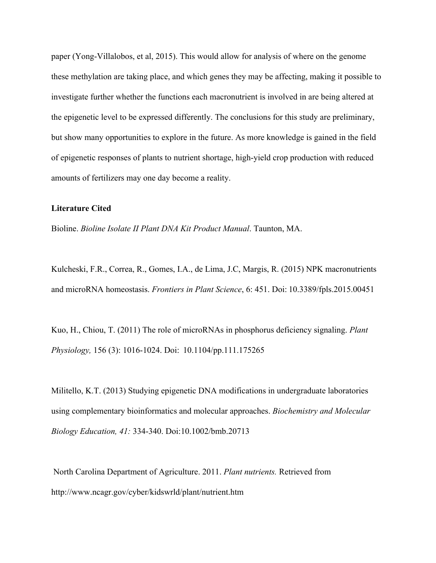paper (Yong-Villalobos, et al, 2015). This would allow for analysis of where on the genome these methylation are taking place, and which genes they may be affecting, making it possible to investigate further whether the functions each macronutrient is involved in are being altered at the epigenetic level to be expressed differently. The conclusions for this study are preliminary, but show many opportunities to explore in the future. As more knowledge is gained in the field of epigenetic responses of plants to nutrient shortage, high-yield crop production with reduced amounts of fertilizers may one day become a reality.

#### **Literature Cited**

Bioline. *Bioline Isolate II Plant DNA Kit Product Manual*. Taunton, MA.

Kulcheski, F.R., Correa, R., Gomes, I.A., de Lima, J.C, Margis, R. (2015) NPK macronutrients and microRNA homeostasis. *Frontiers in Plant Science*, 6: 451. Doi: 10.3389/fpls.2015.00451

Kuo, H., Chiou, T. (2011) The role of microRNAs in phosphorus deficiency signaling. *Plant Physiology,* 156 (3): 1016-1024. Doi: 10.1104/pp.111.175265

Militello, K.T. (2013) Studying epigenetic DNA modifications in undergraduate laboratories using complementary bioinformatics and molecular approaches. *Biochemistry and Molecular Biology Education, 41:* 334-340. Doi:10.1002/bmb.20713

 North Carolina Department of Agriculture. 2011. *Plant nutrients.* Retrieved from http://www.ncagr.gov/cyber/kidswrld/plant/nutrient.htm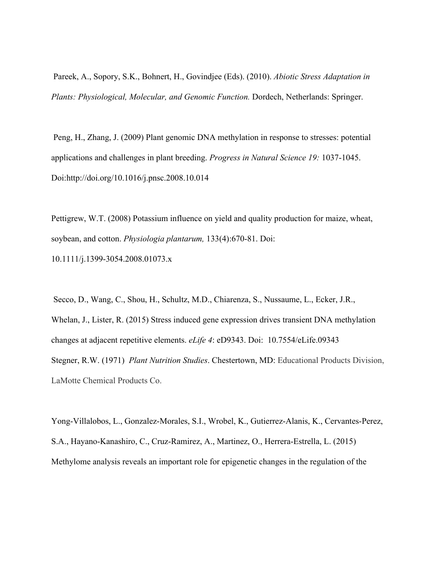Pareek, A., Sopory, S.K., Bohnert, H., Govindjee (Eds). (2010). *Abiotic Stress Adaptation in Plants: Physiological, Molecular, and Genomic Function.* Dordech, Netherlands: Springer.

 Peng, H., Zhang, J. (2009) Plant genomic DNA methylation in response to stresses: potential applications and challenges in plant breeding. *Progress in Natural Science 19:* 1037-1045. Doi:http://doi.org/10.1016/j.pnsc.2008.10.014

Pettigrew, W.T. (2008) Potassium influence on yield and quality production for maize, wheat, soybean, and cotton. *Physiologia plantarum,* 133(4):670-81. Doi: 10.1111/j.1399-3054.2008.01073.x

 Secco, D., Wang, C., Shou, H., Schultz, M.D., Chiarenza, S., Nussaume, L., Ecker, J.R., Whelan, J., Lister, R. (2015) Stress induced gene expression drives transient DNA methylation changes at adjacent repetitive elements. *eLife 4*: eD9343. Doi: 10.7554/eLife.09343 Stegner, R.W. (1971) *Plant Nutrition Studies*. Chestertown, MD: Educational Products Division, LaMotte Chemical Products Co.

Yong-Villalobos, L., Gonzalez-Morales, S.I., Wrobel, K., Gutierrez-Alanis, K., Cervantes-Perez, S.A., Hayano-Kanashiro, C., Cruz-Ramirez, A., Martinez, O., Herrera-Estrella, L. (2015) Methylome analysis reveals an important role for epigenetic changes in the regulation of the